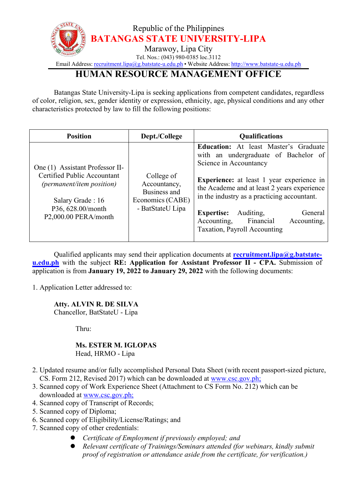

Email Address: [recruitment.lipa@g.batstate-u.edu.ph](mailto:recruitment.lipa@g.batstate-u.edu.ph) • Website Address: [http://www.batstate-u.edu.ph](http://www.batstate-u.edu.ph/)

## **HUMAN RESOURCE MANAGEMENT OFFICE**

Batangas State University-Lipa is seeking applications from competent candidates, regardless of color, religion, sex, gender identity or expression, ethnicity, age, physical conditions and any other characteristics protected by law to fill the following positions:

| <b>Position</b>                                                                                                                                                     | Dept./College                                                                      | <b>Qualifications</b>                                                                                                                                                                                                                                                                                                                                                                    |
|---------------------------------------------------------------------------------------------------------------------------------------------------------------------|------------------------------------------------------------------------------------|------------------------------------------------------------------------------------------------------------------------------------------------------------------------------------------------------------------------------------------------------------------------------------------------------------------------------------------------------------------------------------------|
| One (1) Assistant Professor II-<br>Certified Public Accountant<br><i>(permanent/item position)</i><br>Salary Grade: 16<br>P36, 628.00/month<br>P2,000.00 PERA/month | College of<br>Accountancy,<br>Business and<br>Economics (CABE)<br>- BatStateU Lipa | <b>Education:</b> At least Master's Graduate<br>with an undergraduate of Bachelor of<br>Science in Accountancy<br><b>Experience:</b> at least 1 year experience in<br>the Academe and at least 2 years experience<br>in the industry as a practicing accountant.<br>Auditing,<br>General<br><b>Expertise:</b><br>Financial<br>Accounting,<br>Accounting,<br>Taxation, Payroll Accounting |

Qualified applicants may send their application documents at **[recruitment.lipa@g.batstate](mailto:recruitment.lipa@g.batstate-u.edu.ph) u.edu.ph** with the subject **RE: Application for Assistant Professor II - CPA.** Submission of application is from **January 19, 2022 to January 29, 2022** with the following documents:

1. Application Letter addressed to:

## **Atty. ALVIN R. DE SILVA**

Chancellor, BatStateU - Lipa

Thru:

## **Ms. ESTER M. IGLOPAS** Head, HRMO - Lipa

- 2. Updated resume and/or fully accomplished Personal Data Sheet (with recent passport-sized picture, CS. Form 212, Revised 2017) which can be downloaded at www.csc.gov.ph;
- 3. Scanned copy of Work Experience Sheet (Attachment to CS Form No. 212) which can be downloaded at [www.csc.gov.ph;](http://www.csc.gov.ph;)
- 4. Scanned copy of Transcript of Records;
- 5. Scanned copy of Diploma;
- 6. Scanned copy of Eligibility/License/Ratings; and
- 7. Scanned copy of other credentials:
	- *Certificate of Employment if previously employed; and*
	- *Relevant certificate of Trainings/Seminars attended (for webinars, kindly submit proof of registration or attendance aside from the certificate, for verification.)*